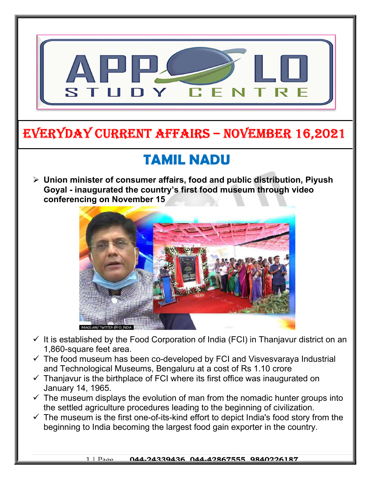

## EVERYDAY CURRENT AFFAIRS – NOVEMBER 16,2021

-

# TAMIL NADU

 $\triangleright$  Union minister of consumer affairs, food and public distribution, Piyush Goyal - inaugurated the country's first food museum through video conferencing on November 15



- $\checkmark$  It is established by the Food Corporation of India (FCI) in Thanjavur district on an 1,860-square feet area.
- $\checkmark$  The food museum has been co-developed by FCI and Visvesvaraya Industrial and Technological Museums, Bengaluru at a cost of Rs 1.10 crore
- $\checkmark$  Thanjavur is the birthplace of FCI where its first office was inaugurated on January 14, 1965.
- $\checkmark$  The museum displays the evolution of man from the nomadic hunter groups into the settled agriculture procedures leading to the beginning of civilization.
- $\checkmark$  The museum is the first one-of-its-kind effort to depict India's food story from the beginning to India becoming the largest food gain exporter in the country.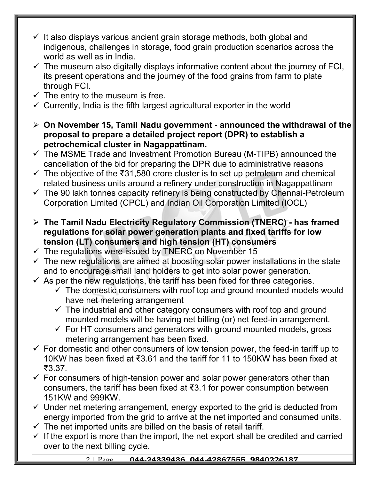- $\checkmark$  It also displays various ancient grain storage methods, both global and indigenous, challenges in storage, food grain production scenarios across the world as well as in India.
- $\checkmark$  The museum also digitally displays informative content about the journey of FCI, its present operations and the journey of the food grains from farm to plate through FCI.
- $\checkmark$  The entry to the museum is free.
- $\checkmark$  Currently, India is the fifth largest agricultural exporter in the world
- $\geq$  On November 15, Tamil Nadu government announced the withdrawal of the proposal to prepare a detailed project report (DPR) to establish a petrochemical cluster in Nagappattinam.
- $\checkmark$  The MSME Trade and Investment Promotion Bureau (M-TIPB) announced the cancellation of the bid for preparing the DPR due to administrative reasons
- $\checkmark$  The objective of the ₹31,580 crore cluster is to set up petroleum and chemical related business units around a refinery under construction in Nagappattinam
- $\checkmark$  The 90 lakh tonnes capacity refinery is being constructed by Chennai-Petroleum Corporation Limited (CPCL) and Indian Oil Corporation Limited (IOCL)
- $\triangleright$  The Tamil Nadu Electricity Regulatory Commission (TNERC) has framed regulations for solar power generation plants and fixed tariffs for low tension (LT) consumers and high tension (HT) consumers
- $\checkmark$  The regulations were issued by TNERC on November 15
- $\checkmark$  The new regulations are aimed at boosting solar power installations in the state and to encourage small land holders to get into solar power generation.
- $\checkmark$  As per the new regulations, the tariff has been fixed for three categories.
	- $\checkmark$  The domestic consumers with roof top and ground mounted models would have net metering arrangement
	- $\checkmark$  The industrial and other category consumers with roof top and ground mounted models will be having net billing (or) net feed-in arrangement.
	- $\checkmark$  For HT consumers and generators with ground mounted models, gross metering arrangement has been fixed.
- $\checkmark$  For domestic and other consumers of low tension power, the feed-in tariff up to 10KW has been fixed at ₹3.61 and the tariff for 11 to 150KW has been fixed at ₹3.37.
- $\checkmark$  For consumers of high-tension power and solar power generators other than consumers, the tariff has been fixed at ₹3.1 for power consumption between 151KW and 999KW.
- $\checkmark$  Under net metering arrangement, energy exported to the grid is deducted from energy imported from the grid to arrive at the net imported and consumed units.
- $\checkmark$  The net imported units are billed on the basis of retail tariff.
- $\checkmark$  If the export is more than the import, the net export shall be credited and carried over to the next billing cycle.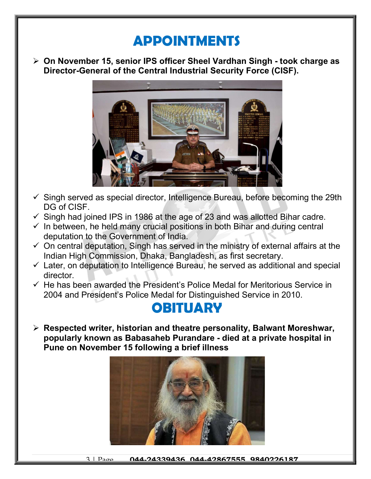## APPOINTMENTS

 On November 15, senior IPS officer Sheel Vardhan Singh - took charge as Director-General of the Central Industrial Security Force (CISF).



- $\checkmark$  Singh served as special director, Intelligence Bureau, before becoming the 29th DG of CISF.
- $\checkmark$  Singh had joined IPS in 1986 at the age of 23 and was allotted Bihar cadre.
- $\checkmark$  In between, he held many crucial positions in both Bihar and during central deputation to the Government of India.
- $\checkmark$  On central deputation, Singh has served in the ministry of external affairs at the Indian High Commission, Dhaka, Bangladesh, as first secretary.
- $\checkmark$  Later, on deputation to Intelligence Bureau, he served as additional and special director.
- $\checkmark$  He has been awarded the President's Police Medal for Meritorious Service in 2004 and President's Police Medal for Distinguished Service in 2010.

### **OBITUARY**

 $\triangleright$  Respected writer, historian and theatre personality, Balwant Moreshwar, popularly known as Babasaheb Purandare - died at a private hospital in Pune on November 15 following a brief illness

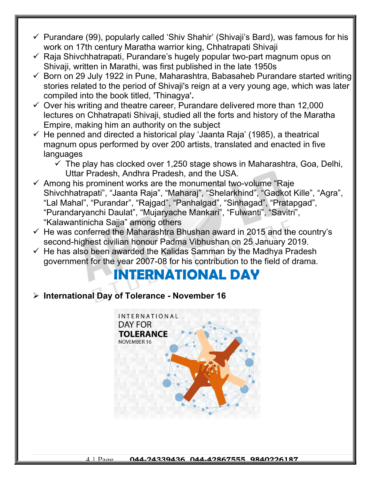- $\checkmark$  Purandare (99), popularly called 'Shiv Shahir' (Shivaji's Bard), was famous for his work on 17th century Maratha warrior king, Chhatrapati Shivaji
- $\checkmark$  Raja Shivchhatrapati, Purandare's hugely popular two-part magnum opus on Shivaji, written in Marathi, was first published in the late 1950s
- $\checkmark$  Born on 29 July 1922 in Pune, Maharashtra, Babasaheb Purandare started writing stories related to the period of Shivaji's reign at a very young age, which was later compiled into the book titled, 'Thinagya'.
- $\checkmark$  Over his writing and theatre career, Purandare delivered more than 12,000 lectures on Chhatrapati Shivaji, studied all the forts and history of the Maratha Empire, making him an authority on the subject
- $\checkmark$  He penned and directed a historical play 'Jaanta Raja' (1985), a theatrical magnum opus performed by over 200 artists, translated and enacted in five languages
	- $\checkmark$  The play has clocked over 1,250 stage shows in Maharashtra, Goa, Delhi, Uttar Pradesh, Andhra Pradesh, and the USA.
- $\checkmark$  Among his prominent works are the monumental two-volume "Raje Shivchhatrapati", "Jaanta Raja", "Maharaj", "Shelarkhind", "Gadkot Kille", "Agra", "Lal Mahal", "Purandar", "Rajgad", "Panhalgad", "Sinhagad", "Pratapgad", "Purandaryanchi Daulat", "Mujaryache Mankari", "Fulwanti", "Savitri", "Kalawantinicha Sajja" among others
- $\checkmark$  He was conferred the Maharashtra Bhushan award in 2015 and the country's second-highest civilian honour Padma Vibhushan on 25 January 2019.
- $\checkmark$  He has also been awarded the Kalidas Samman by the Madhya Pradesh government for the year 2007-08 for his contribution to the field of drama.

# INTERNATIONAL DAY

#### $\triangleright$  International Day of Tolerance - November 16